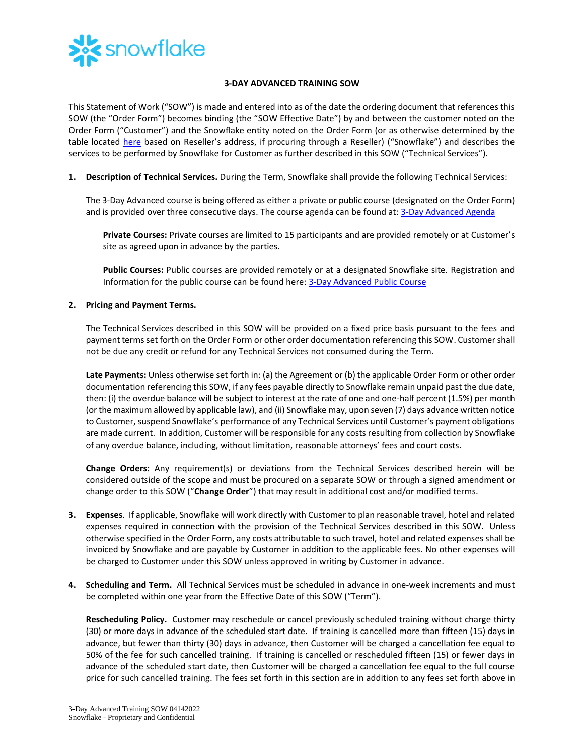

## **3-DAY ADVANCED TRAINING SOW**

This Statement of Work ("SOW") is made and entered into as of the date the ordering document that references this SOW (the "Order Form") becomes binding (the "SOW Effective Date") by and between the customer noted on the Order Form ("Customer") and the Snowflake entity noted on the Order Form (or as otherwise determined by the table located [here](https://www.snowflake.com/legal/snowflake-contracting-entities/) based on Reseller's address, if procuring through a Reseller) ("Snowflake") and describes the services to be performed by Snowflake for Customer as further described in this SOW ("Technical Services").

**1. Description of Technical Services.** During the Term, Snowflake shall provide the following Technical Services:

The 3-Day Advanced course is being offered as either a private or public course (designated on the Order Form) and is provided over three consecutive days. The course agenda can be found at: [3-Day Advanced Agenda](https://bit.ly/Adv3Day-datasheet)

**Private Courses:** Private courses are limited to 15 participants and are provided remotely or at Customer's site as agreed upon in advance by the parties.

**Public Courses:** Public courses are provided remotely or at a designated Snowflake site. Registration and Information for the public course can be found here: [3-Day Advanced Public Course](https://training.snowflake.com/schedule)

## **2. Pricing and Payment Terms.**

The Technical Services described in this SOW will be provided on a fixed price basis pursuant to the fees and payment terms set forth on the Order Form or other order documentation referencing this SOW. Customer shall not be due any credit or refund for any Technical Services not consumed during the Term.

**Late Payments:** Unless otherwise set forth in: (a) the Agreement or (b) the applicable Order Form or other order documentation referencing this SOW, if any fees payable directly to Snowflake remain unpaid past the due date, then: (i) the overdue balance will be subject to interest at the rate of one and one-half percent (1.5%) per month (or the maximum allowed by applicable law), and (ii) Snowflake may, upon seven (7) days advance written notice to Customer, suspend Snowflake's performance of any Technical Services until Customer's payment obligations are made current. In addition, Customer will be responsible for any costs resulting from collection by Snowflake of any overdue balance, including, without limitation, reasonable attorneys' fees and court costs.

**Change Orders:** Any requirement(s) or deviations from the Technical Services described herein will be considered outside of the scope and must be procured on a separate SOW or through a signed amendment or change order to this SOW ("**Change Order**") that may result in additional cost and/or modified terms.

- **3. Expenses**. If applicable, Snowflake will work directly with Customer to plan reasonable travel, hotel and related expenses required in connection with the provision of the Technical Services described in this SOW. Unless otherwise specified in the Order Form, any costs attributable to such travel, hotel and related expenses shall be invoiced by Snowflake and are payable by Customer in addition to the applicable fees. No other expenses will be charged to Customer under this SOW unless approved in writing by Customer in advance.
- **4. Scheduling and Term.** All Technical Services must be scheduled in advance in one-week increments and must be completed within one year from the Effective Date of this SOW ("Term").

**Rescheduling Policy.** Customer may reschedule or cancel previously scheduled training without charge thirty (30) or more days in advance of the scheduled start date. If training is cancelled more than fifteen (15) days in advance, but fewer than thirty (30) days in advance, then Customer will be charged a cancellation fee equal to 50% of the fee for such cancelled training. If training is cancelled or rescheduled fifteen (15) or fewer days in advance of the scheduled start date, then Customer will be charged a cancellation fee equal to the full course price for such cancelled training. The fees set forth in this section are in addition to any fees set forth above in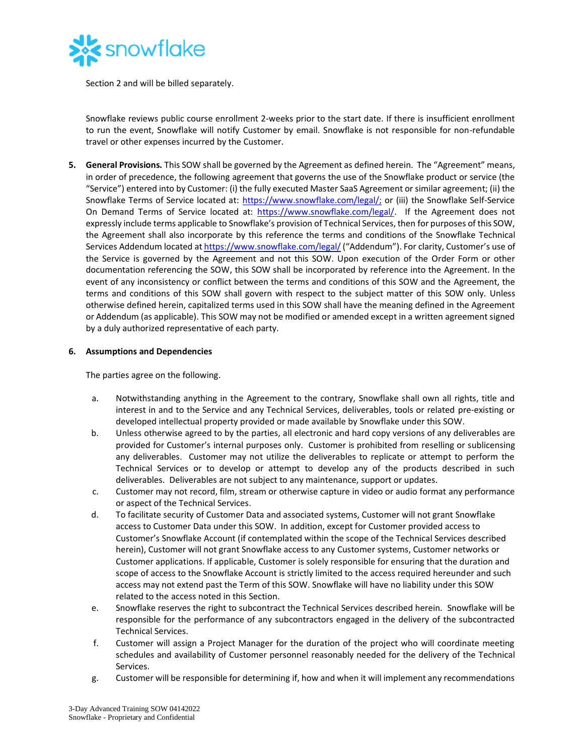

Section 2 and will be billed separately.

Snowflake reviews public course enrollment 2-weeks prior to the start date. If there is insufficient enrollment to run the event, Snowflake will notify Customer by email. Snowflake is not responsible for non-refundable travel or other expenses incurred by the Customer.

**5. General Provisions.** This SOW shall be governed by the Agreement as defined herein. The "Agreement" means, in order of precedence, the following agreement that governs the use of the Snowflake product or service (the "Service") entered into by Customer: (i) the fully executed Master SaaS Agreement or similar agreement; (ii) the Snowflake Terms of Service located at: [https://www.snowflake.com/legal/;](https://www.snowflake.com/legal/) or (iii) the Snowflake Self-Service On Demand Terms of Service located at: [https://www.snowflake.com/legal/.](https://www.snowflake.com/legal/) If the Agreement does not expressly include terms applicable to Snowflake's provision of Technical Services, then for purposes of this SOW, the Agreement shall also incorporate by this reference the terms and conditions of the Snowflake Technical Services Addendum located a[t https://www.snowflake.com/legal/](https://www.snowflake.com/legal/) ("Addendum"). For clarity, Customer's use of the Service is governed by the Agreement and not this SOW. Upon execution of the Order Form or other documentation referencing the SOW, this SOW shall be incorporated by reference into the Agreement. In the event of any inconsistency or conflict between the terms and conditions of this SOW and the Agreement, the terms and conditions of this SOW shall govern with respect to the subject matter of this SOW only. Unless otherwise defined herein, capitalized terms used in this SOW shall have the meaning defined in the Agreement or Addendum (as applicable). This SOW may not be modified or amended except in a written agreement signed by a duly authorized representative of each party.

## **6. Assumptions and Dependencies**

The parties agree on the following.

- a. Notwithstanding anything in the Agreement to the contrary, Snowflake shall own all rights, title and interest in and to the Service and any Technical Services, deliverables, tools or related pre-existing or developed intellectual property provided or made available by Snowflake under this SOW.
- b. Unless otherwise agreed to by the parties, all electronic and hard copy versions of any deliverables are provided for Customer's internal purposes only. Customer is prohibited from reselling or sublicensing any deliverables. Customer may not utilize the deliverables to replicate or attempt to perform the Technical Services or to develop or attempt to develop any of the products described in such deliverables. Deliverables are not subject to any maintenance, support or updates.
- c. Customer may not record, film, stream or otherwise capture in video or audio format any performance or aspect of the Technical Services.
- d. To facilitate security of Customer Data and associated systems, Customer will not grant Snowflake access to Customer Data under this SOW. In addition, except for Customer provided access to Customer's Snowflake Account (if contemplated within the scope of the Technical Services described herein), Customer will not grant Snowflake access to any Customer systems, Customer networks or Customer applications. If applicable, Customer is solely responsible for ensuring that the duration and scope of access to the Snowflake Account is strictly limited to the access required hereunder and such access may not extend past the Term of this SOW. Snowflake will have no liability under this SOW related to the access noted in this Section.
- e. Snowflake reserves the right to subcontract the Technical Services described herein. Snowflake will be responsible for the performance of any subcontractors engaged in the delivery of the subcontracted Technical Services.
- f. Customer will assign a Project Manager for the duration of the project who will coordinate meeting schedules and availability of Customer personnel reasonably needed for the delivery of the Technical Services.
- g. Customer will be responsible for determining if, how and when it will implement any recommendations